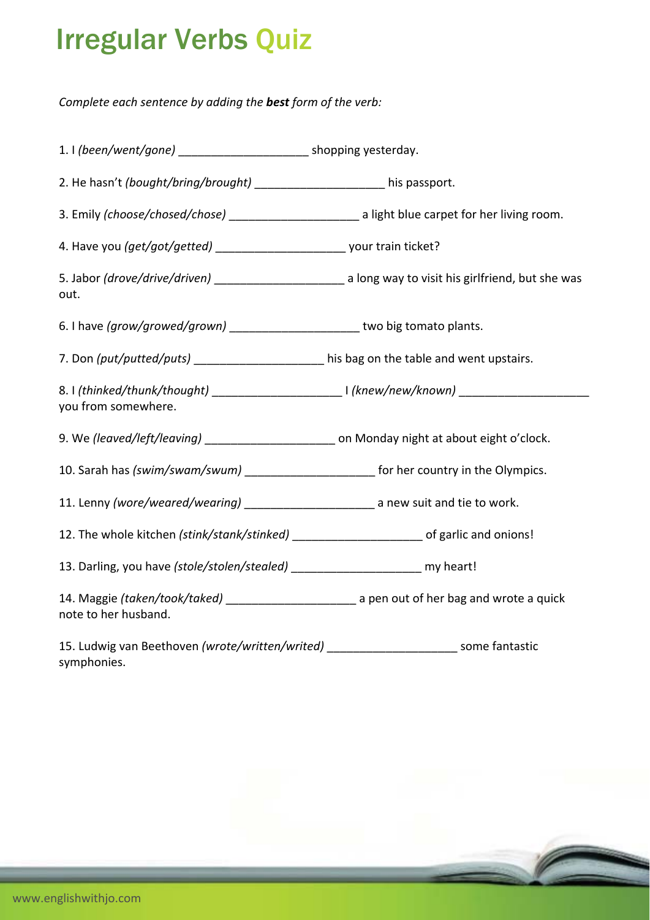## Irregular Verbs Quiz

*Complete each sentence by adding the best form of the verb:*

| 1. I (been/went/gone) __________________________ shopping yesterday.                                                           |                                                                                                                |
|--------------------------------------------------------------------------------------------------------------------------------|----------------------------------------------------------------------------------------------------------------|
| 2. He hasn't (bought/bring/brought) ______________________ his passport.                                                       |                                                                                                                |
| 3. Emily (choose/chosed/chose) ___________________________ a light blue carpet for her living room.                            |                                                                                                                |
|                                                                                                                                |                                                                                                                |
| out.                                                                                                                           | 5. Jabor (drove/drive/driven) ________________________________ a long way to visit his girlfriend, but she was |
| 6. I have (grow/growed/grown) __________________________ two big tomato plants.                                                |                                                                                                                |
| 7. Don (put/putted/puts) ____________________ his bag on the table and went upstairs.                                          |                                                                                                                |
| you from somewhere.                                                                                                            |                                                                                                                |
| 9. We (leaved/left/leaving) ______________________ on Monday night at about eight o'clock.                                     |                                                                                                                |
| 10. Sarah has (swim/swam/swum) _______________________ for her country in the Olympics.                                        |                                                                                                                |
|                                                                                                                                |                                                                                                                |
|                                                                                                                                |                                                                                                                |
| 13. Darling, you have (stole/stolen/stealed) ________________________ my heart!                                                |                                                                                                                |
| 14. Maggie (taken/took/taked) _________________________________ a pen out of her bag and wrote a quick<br>note to her husband. |                                                                                                                |
| 15. Ludwig van Beethoven (wrote/written/writed) ________________________ some fantastic                                        |                                                                                                                |

symphonies.